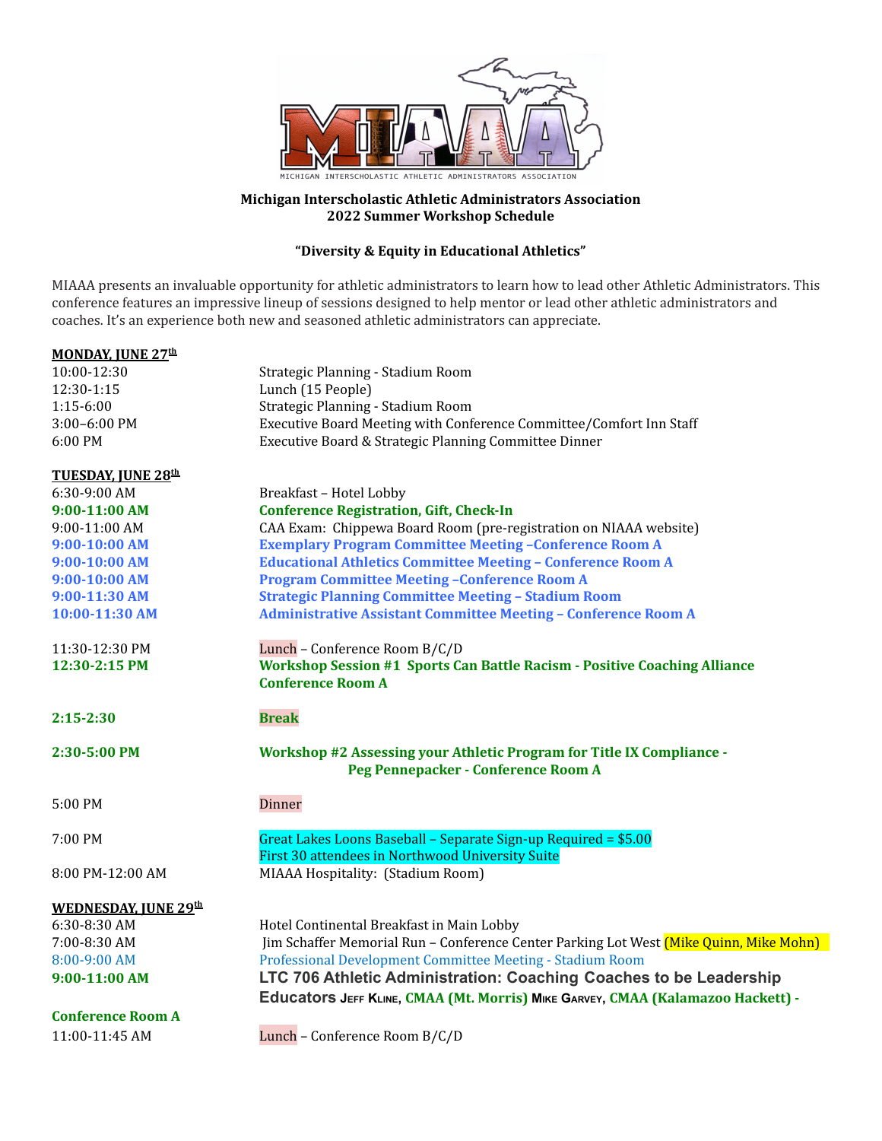

### **Michigan Interscholastic Athletic Administrators Association 2022 Summer Workshop Schedule**

## **"Diversity & Equity in Educational Athletics"**

MIAAA presents an invaluable opportunity for athletic administrators to learn how to lead other Athletic Administrators. This conference features an impressive lineup of sessions designed to help mentor or lead other athletic administrators and coaches. It's an experience both new and seasoned athletic administrators can appreciate.

| <b>MONDAY, JUNE 27th</b>    |                                                                                                                     |
|-----------------------------|---------------------------------------------------------------------------------------------------------------------|
| 10:00-12:30                 | Strategic Planning - Stadium Room                                                                                   |
| 12:30-1:15                  | Lunch (15 People)                                                                                                   |
| 1:15-6:00                   | Strategic Planning - Stadium Room                                                                                   |
| $3:00-6:00$ PM              | Executive Board Meeting with Conference Committee/Comfort Inn Staff                                                 |
| 6:00 PM                     | Executive Board & Strategic Planning Committee Dinner                                                               |
| <b>TUESDAY, JUNE 28th</b>   |                                                                                                                     |
| 6:30-9:00 AM                | Breakfast - Hotel Lobby                                                                                             |
| 9:00-11:00 AM               | <b>Conference Registration, Gift, Check-In</b>                                                                      |
| 9:00-11:00 AM               | CAA Exam: Chippewa Board Room (pre-registration on NIAAA website)                                                   |
| $9:00-10:00$ AM             | <b>Exemplary Program Committee Meeting -Conference Room A</b>                                                       |
| 9:00-10:00 AM               | <b>Educational Athletics Committee Meeting - Conference Room A</b>                                                  |
| 9:00-10:00 AM               | <b>Program Committee Meeting -Conference Room A</b>                                                                 |
| 9:00-11:30 AM               | <b>Strategic Planning Committee Meeting - Stadium Room</b>                                                          |
| 10:00-11:30 AM              | <b>Administrative Assistant Committee Meeting - Conference Room A</b>                                               |
| 11:30-12:30 PM              | Lunch - Conference Room B/C/D                                                                                       |
| 12:30-2:15 PM               | <b>Workshop Session #1 Sports Can Battle Racism - Positive Coaching Alliance</b>                                    |
|                             | <b>Conference Room A</b>                                                                                            |
| $2:15 - 2:30$               | <b>Break</b>                                                                                                        |
| 2:30-5:00 PM                | <b>Workshop #2 Assessing your Athletic Program for Title IX Compliance -</b><br>Peg Pennepacker - Conference Room A |
| 5:00 PM                     | Dinner                                                                                                              |
| 7:00 PM                     | Great Lakes Loons Baseball - Separate Sign-up Required = \$5.00<br>First 30 attendees in Northwood University Suite |
| 8:00 PM-12:00 AM            | MIAAA Hospitality: (Stadium Room)                                                                                   |
| <b>WEDNESDAY, JUNE 29th</b> |                                                                                                                     |
| 6:30-8:30 AM                | Hotel Continental Breakfast in Main Lobby                                                                           |
| 7:00-8:30 AM                | Jim Schaffer Memorial Run - Conference Center Parking Lot West (Mike Quinn, Mike Mohn)                              |
| 8:00-9:00 AM                | Professional Development Committee Meeting - Stadium Room                                                           |
| 9:00-11:00 AM               | LTC 706 Athletic Administration: Coaching Coaches to be Leadership                                                  |
|                             | Educators JEFF KLINE, CMAA (Mt. Morris) MIKE GARVEY, CMAA (Kalamazoo Hackett) -                                     |
| <b>Conference Room A</b>    |                                                                                                                     |
| 11:00-11:45 AM              | Lunch - Conference Room B/C/D                                                                                       |
|                             |                                                                                                                     |